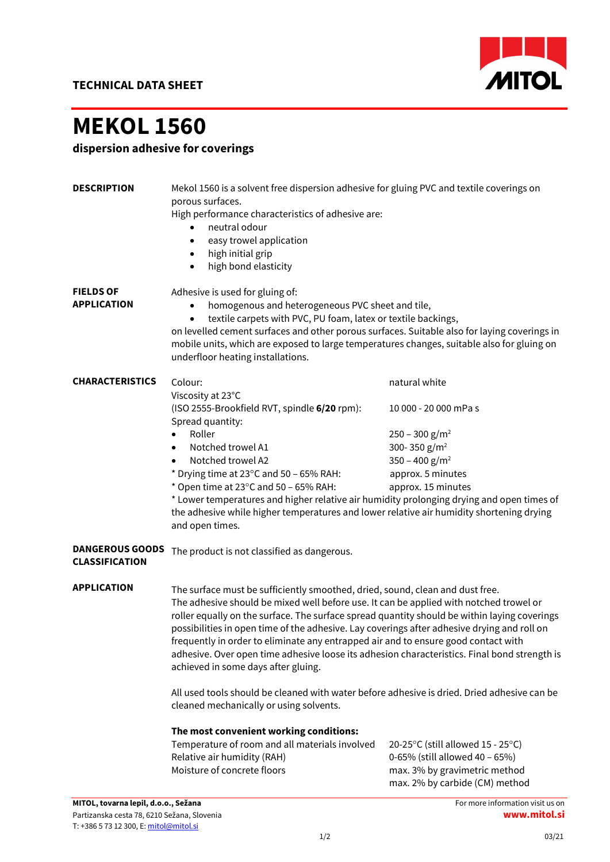

## MEKOL 1560

dispersion adhesive for coverings

| <b>DESCRIPTION</b>                              | Mekol 1560 is a solvent free dispersion adhesive for gluing PVC and textile coverings on<br>porous surfaces.<br>High performance characteristics of adhesive are:<br>neutral odour<br>easy trowel application<br>$\bullet$<br>high initial grip<br>$\bullet$<br>high bond elasticity<br>$\bullet$                                                                                                                                                                                                                                                                                                                                                                                                                                             |                                                                                                                                                            |
|-------------------------------------------------|-----------------------------------------------------------------------------------------------------------------------------------------------------------------------------------------------------------------------------------------------------------------------------------------------------------------------------------------------------------------------------------------------------------------------------------------------------------------------------------------------------------------------------------------------------------------------------------------------------------------------------------------------------------------------------------------------------------------------------------------------|------------------------------------------------------------------------------------------------------------------------------------------------------------|
| <b>FIELDS OF</b><br><b>APPLICATION</b>          | Adhesive is used for gluing of:<br>homogenous and heterogeneous PVC sheet and tile,<br>textile carpets with PVC, PU foam, latex or textile backings,<br>$\bullet$<br>on levelled cement surfaces and other porous surfaces. Suitable also for laying coverings in<br>mobile units, which are exposed to large temperatures changes, suitable also for gluing on<br>underfloor heating installations.                                                                                                                                                                                                                                                                                                                                          |                                                                                                                                                            |
| <b>CHARACTERISTICS</b>                          | Colour:                                                                                                                                                                                                                                                                                                                                                                                                                                                                                                                                                                                                                                                                                                                                       | natural white                                                                                                                                              |
|                                                 | Viscosity at 23°C<br>(ISO 2555-Brookfield RVT, spindle 6/20 rpm):<br>Spread quantity:                                                                                                                                                                                                                                                                                                                                                                                                                                                                                                                                                                                                                                                         | 10 000 - 20 000 mPa s                                                                                                                                      |
|                                                 | Roller                                                                                                                                                                                                                                                                                                                                                                                                                                                                                                                                                                                                                                                                                                                                        | $250 - 300$ g/m <sup>2</sup>                                                                                                                               |
|                                                 | Notched trowel A1<br>$\bullet$                                                                                                                                                                                                                                                                                                                                                                                                                                                                                                                                                                                                                                                                                                                | 300-350 g/m <sup>2</sup>                                                                                                                                   |
|                                                 | Notched trowel A2                                                                                                                                                                                                                                                                                                                                                                                                                                                                                                                                                                                                                                                                                                                             | 350 - 400 $g/m^2$                                                                                                                                          |
|                                                 | * Drying time at 23°C and 50 - 65% RAH:                                                                                                                                                                                                                                                                                                                                                                                                                                                                                                                                                                                                                                                                                                       | approx. 5 minutes                                                                                                                                          |
|                                                 | * Open time at 23°C and 50 - 65% RAH:                                                                                                                                                                                                                                                                                                                                                                                                                                                                                                                                                                                                                                                                                                         | approx. 15 minutes                                                                                                                                         |
|                                                 | * Lower temperatures and higher relative air humidity prolonging drying and open times of<br>the adhesive while higher temperatures and lower relative air humidity shortening drying<br>and open times.                                                                                                                                                                                                                                                                                                                                                                                                                                                                                                                                      |                                                                                                                                                            |
| <b>DANGEROUS GOODS</b><br><b>CLASSIFICATION</b> | The product is not classified as dangerous.                                                                                                                                                                                                                                                                                                                                                                                                                                                                                                                                                                                                                                                                                                   |                                                                                                                                                            |
| <b>APPLICATION</b>                              | The surface must be sufficiently smoothed, dried, sound, clean and dust free.<br>The adhesive should be mixed well before use. It can be applied with notched trowel or<br>roller equally on the surface. The surface spread quantity should be within laying coverings<br>possibilities in open time of the adhesive. Lay coverings after adhesive drying and roll on<br>frequently in order to eliminate any entrapped air and to ensure good contact with<br>adhesive. Over open time adhesive loose its adhesion characteristics. Final bond strength is<br>achieved in some days after gluing.<br>All used tools should be cleaned with water before adhesive is dried. Dried adhesive can be<br>cleaned mechanically or using solvents. |                                                                                                                                                            |
|                                                 |                                                                                                                                                                                                                                                                                                                                                                                                                                                                                                                                                                                                                                                                                                                                               |                                                                                                                                                            |
|                                                 | The most convenient working conditions:<br>Temperature of room and all materials involved<br>Relative air humidity (RAH)<br>Moisture of concrete floors                                                                                                                                                                                                                                                                                                                                                                                                                                                                                                                                                                                       | 20-25 $\degree$ C (still allowed 15 - 25 $\degree$ C)<br>0-65% (still allowed 40 - 65%)<br>max. 3% by gravimetric method<br>max. 2% by carbide (CM) method |